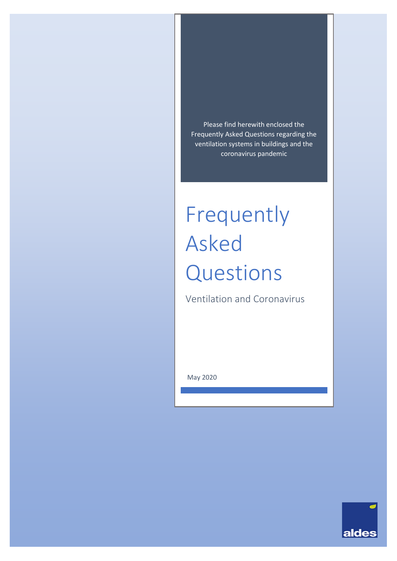Please find herewith enclosed the Frequently Asked Questions regarding the ventilation systems in buildings and the coronavirus pandemic

# Frequently Asked Questions

Ventilation and Coronavirus

May 2020

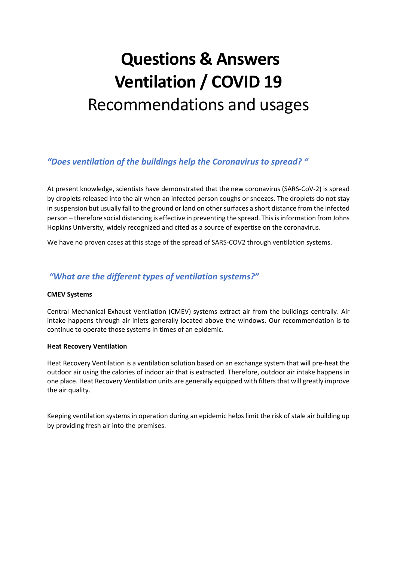# **Questions & Answers Ventilation / COVID 19** Recommendations and usages

#### *"Does ventilation of the buildings help the Coronavirus to spread? "*

At present knowledge, scientists have demonstrated that the new coronavirus (SARS-CoV-2) is spread by droplets released into the air when an infected person coughs or sneezes. The droplets do not stay in suspension but usually fall to the ground or land on other surfaces a short distance from the infected person – therefore social distancing is effective in preventing the spread. This is information from Johns Hopkins University, widely recognized and cited as a source of expertise on the coronavirus.

We have no proven cases at this stage of the spread of SARS-COV2 through ventilation systems.

#### *"What are the different types of ventilation systems?"*

#### **CMEV Systems**

Central Mechanical Exhaust Ventilation (CMEV) systems extract air from the buildings centrally. Air intake happens through air inlets generally located above the windows. Our recommendation is to continue to operate those systems in times of an epidemic.

#### **Heat Recovery Ventilation**

Heat Recovery Ventilation is a ventilation solution based on an exchange system that will pre-heat the outdoor air using the calories of indoor air that is extracted. Therefore, outdoor air intake happens in one place. Heat Recovery Ventilation units are generally equipped with filters that will greatly improve the air quality.

Keeping ventilation systems in operation during an epidemic helps limit the risk of stale air building up by providing fresh air into the premises.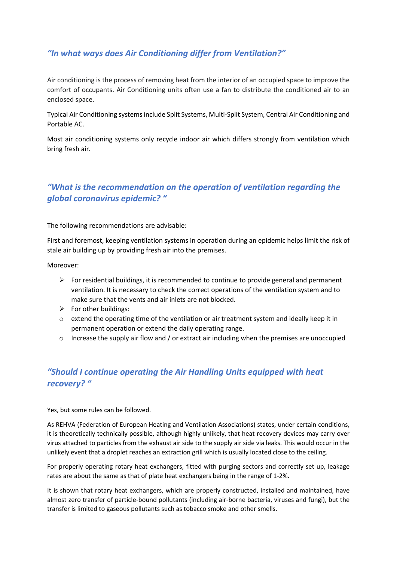# *"In what ways does Air Conditioning differ from Ventilation?"*

Air conditioning is the process of removing heat from the interior of an occupied space to improve the comfort of occupants. Air Conditioning units often use a fan to distribute the conditioned air to an enclosed space.

Typical Air Conditioning systems include Split Systems, Multi-Split System, Central Air Conditioning and Portable AC.

Most air conditioning systems only recycle indoor air which differs strongly from ventilation which bring fresh air.

# *"What is the recommendation on the operation of ventilation regarding the global coronavirus epidemic? "*

The following recommendations are advisable:

First and foremost, keeping ventilation systems in operation during an epidemic helps limit the risk of stale air building up by providing fresh air into the premises.

Moreover:

- $\triangleright$  For residential buildings, it is recommended to continue to provide general and permanent ventilation. It is necessary to check the correct operations of the ventilation system and to make sure that the vents and air inlets are not blocked.
- $\triangleright$  For other buildings:
- o extend the operating time of the ventilation or air treatment system and ideally keep it in permanent operation or extend the daily operating range.
- $\circ$  Increase the supply air flow and / or extract air including when the premises are unoccupied

# *"Should I continue operating the Air Handling Units equipped with heat recovery? "*

Yes, but some rules can be followed.

As REHVA (Federation of European Heating and Ventilation Associations) states, under certain conditions, it is theoretically technically possible, although highly unlikely, that heat recovery devices may carry over virus attached to particles from the exhaust air side to the supply air side via leaks. This would occur in the unlikely event that a droplet reaches an extraction grill which is usually located close to the ceiling.

For properly operating rotary heat exchangers, fitted with purging sectors and correctly set up, leakage rates are about the same as that of plate heat exchangers being in the range of 1-2%.

It is shown that rotary heat exchangers, which are properly constructed, installed and maintained, have almost zero transfer of particle-bound pollutants (including air-borne bacteria, viruses and fungi), but the transfer is limited to gaseous pollutants such as tobacco smoke and other smells.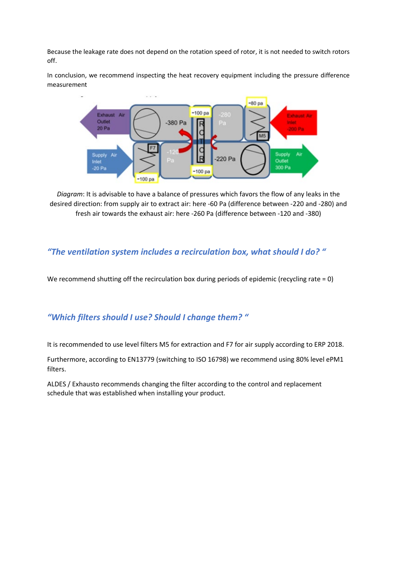Because the leakage rate does not depend on the rotation speed of rotor, it is not needed to switch rotors off.

In conclusion, we recommend inspecting the heat recovery equipment including the pressure difference measurement



*Diagram*: It is advisable to have a balance of pressures which favors the flow of any leaks in the desired direction: from supply air to extract air: here -60 Pa (difference between -220 and -280) and fresh air towards the exhaust air: here -260 Pa (difference between -120 and -380)

#### *"The ventilation system includes a recirculation box, what should I do? "*

We recommend shutting off the recirculation box during periods of epidemic (recycling rate = 0)

#### *"Which filters should I use? Should I change them? "*

It is recommended to use level filters M5 for extraction and F7 for air supply according to ERP 2018.

Furthermore, according to EN13779 (switching to ISO 16798) we recommend using 80% level ePM1 filters.

ALDES / Exhausto recommends changing the filter according to the control and replacement schedule that was established when installing your product.